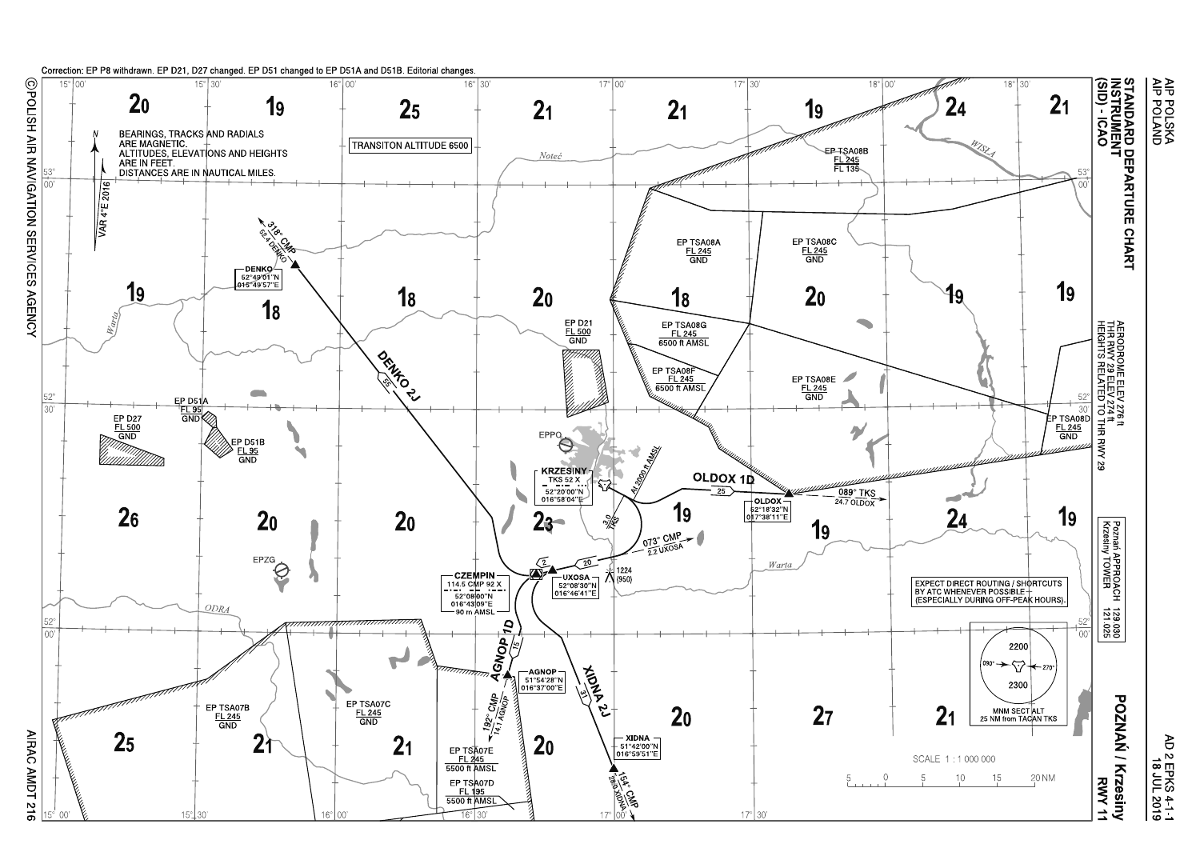